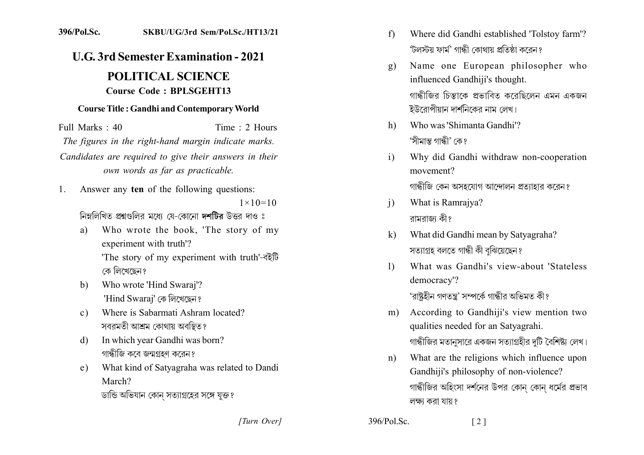## 396/Pol.Sc. SKBU/UG/3rd Sem/Pol.Sc./HT13/21

## **U.G. 3rd Semester Examination - 2021 POLITICAL SCIENCE Course Code: BPLSGEHT13**

## **Course Title: Gandhi and Contemporary World**

Full Marks: 40 Time: 2 Hours The figures in the right-hand margin indicate marks. Candidates are required to give their answers in their own words as far as practicable.

Answer any ten of the following questions:  $\mathbf{1}$ 

 $1 \times 10 = 10$ 

নিম্নলিখিত প্ৰশ্নগুলির মধ্যে যে-কোনো দশটির উত্তর দাও ঃ

- Who wrote the book, 'The story of my a) experiment with truth'? 'The story of my experiment with truth'-बरेंটि কে লিখেছেন?
- Who wrote 'Hind Swaraj'?  $h$ 'Hind Swaraj' কে লিখেছেন?
- Where is Sabarmati Ashram located?  $c)$ সবরমতী আশ্রম কোথায় অবস্থিত?
- In which year Gandhi was born? d) গান্ধীজি কবে জন্মগ্রহণ করেন?
- What kind of Satyagraha was related to Dandi e) March? ডান্ডি অভিযান কোন সত্যাগ্রহের সঙ্গে যুক্ত?
- Where did Gandhi established 'Tolstoy farm'?  $f$ 'টলস্টয় ফাৰ্ম' গান্ধী কোথায় প্ৰতিষ্ঠা কবেন ?
- Name one European philosopher who  $\mathbf{Q}$ influenced Gandhiji's thought. গান্ধীজির চিন্তাকে প্রভাবিত করেছিলেন এমন একজন ইউরোপীয়ান দার্শনিকের নাম লেখ।
- Who was 'Shimanta Gandhi'?  $h)$ 'সীমান্ত গান্ধী' কে প
- Why did Gandhi withdraw non-cooperation  $\mathbf{i}$ movement?

গান্ধীজি কেন অসহযোগ আন্দোলন প্রত্যাহার করেন?

- What is Ramrajya?  $\mathbf{i}$ রামরাজ কী?
- What did Gandhi mean by Satyagraha?  $\bf k$ সত্যাগ্ৰহ বলতে গান্ধী কী বুঝিয়েছেন?
- What was Gandhi's view-about 'Stateless  $\mathbf{D}$ democracy'?

'রাষ্টহীন গণতন্ত্র' সম্পর্কে গান্ধীর অভিমত কী?

- According to Gandhiji's view mention two  $m)$ qualities needed for an Satyagrahi. গান্ধীজির মতানসারে একজন সত্যাগ্রহীর দটি বৈশিষ্ট্য লেখ।
- What are the religions which influence upon  $n)$ Gandhiji's philosophy of non-violence? গান্ধীজির অহিংসা দর্শনের উপর কোন কোন ধর্মের প্রভাব লক্ষ্য করা যায়?

 $\lceil 2 \rceil$ 

[Turn Over]

 $396/P<sub>0</sub>$  Sc